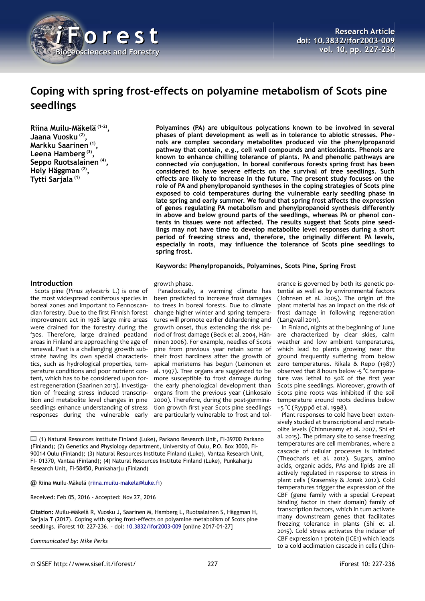

# **Coping with spring frost-effects on polyamine metabolism of Scots pine seedlings**

**Riina Muilu-Mäkelä (1-2) , Jaana Vuosku (2) , Markku Saarinen (1) , Leena Hamberg (3) , Seppo Ruotsalainen (4) , Hely Häggman (2) , Tytti Sarjala (1)**

**Polyamines (PA) are ubiquitous polycations known to be involved in several phases of plant development as well as in tolerance to abiotic stresses. Phenols are complex secondary metabolites produced** *via* **the phenylpropanoid pathway that contain,** *e.g.***, cell wall compounds and antioxidants. Phenols are known to enhance chilling tolerance of plants. PA and phenolic pathways are connected** *via* **conjugation. In boreal coniferous forests spring frost has been considered to have severe effects on the survival of tree seedlings. Such effects are likely to increase in the future. The present study focuses on the role of PA and phenylpropanoid syntheses in the coping strategies of Scots pine exposed to cold temperatures during the vulnerable early seedling phase in late spring and early summer. We found that spring frost affects the expression of genes regulating PA metabolism and phenylpropanoid synthesis differently in above and below ground parts of the seedlings, whereas PA or phenol contents in tissues were not affected. The results suggest that Scots pine seedlings may not have time to develop metabolite level responses during a short period of freezing stress and, therefore, the originally different PA levels, especially in roots, may influence the tolerance of Scots pine seedlings to spring frost.**

**Keywords: Phenylpropanoids, Polyamines, Scots Pine, Spring Frost**

#### **Introduction**

Scots pine (*Pinus sylvestris* L.) is one of the most widespread coniferous species in boreal zones and important to Fennoscandian forestry. Due to the first Finnish forest improvement act in 1928 large mire areas were drained for the forestry during the '30s. Therefore, large drained peatland areas in Finland are approaching the age of renewal. Peat is a challenging growth substrate having its own special characteristics, such as hydrological properties, temperature conditions and poor nutrient content, which has to be considered upon forest regeneration (Saarinen 2013). Investigation of freezing stress induced transcription and metabolite level changes in pine seedlings enhance understanding of stress responses during the vulnerable early

growth phase.

Paradoxically, a warming climate has been predicted to increase frost damages to trees in boreal forests. Due to climate change higher winter and spring temperatures will promote earlier dehardening and growth onset, thus extending the risk period of frost damage (Beck et al. 2004, Hänninen 2006). For example, needles of Scots pine from previous year retain some of their frost hardiness after the growth of apical meristems has begun (Leinonen et al. 1997). Tree organs are suggested to be more susceptible to frost damage during the early phenological development than organs from the previous year (Linkosalo 2000). Therefore, during the post-germination growth first year Scots pine seedlings are particularly vulnerable to frost and tol-

 $\Box$  (1) Natural Resources Institute Finland (Luke), Parkano Research Unit, FI-39700 Parkano (Finland); (2) Genetics and Physiology department, University of Oulu, P.O. Box 3000, FI-90014 Oulu (Finland); (3) Natural Resources Institute Finland (Luke), Vantaa Research Unit, FI- 01370, Vantaa (Finland); (4) Natural Resources Institute Finland (Luke), Punkaharju Research Unit, FI-58450, Punkaharju (Finland)

@ Riina Muilu-Mäkelä [\(riina.muilu-makela@luke.fi\)](mailto:riina.muilu-makela@luke.fi)

Received: Feb 05, 2016 - Accepted: Nov 27, 2016

**Citation:** Muilu-Mäkelä R, Vuosku J, Saarinen M, Hamberg L, Ruotsalainen S, Häggman H, Sarjala T (2017). Coping with spring frost-effects on polyamine metabolism of Scots pine seedlings. iForest 10: 227-236. – doi: [10.3832/ifor2003-009](http://www.sisef.it/iforest/contents/?id=ifor2003-009) [online 2017-01-27]

*Communicated by: Mike Perks*

erance is governed by both its genetic potential as well as by environmental factors (Johnsen et al. 2005). The origin of the plant material has an impact on the risk of frost damage in following regeneration (Langwall 2011).

In Finland, nights at the beginning of June are characterized by clear skies, calm weather and low ambient temperatures, which lead to plants growing near the ground frequently suffering from below zero temperatures. Rikala & Repo (1987) observed that 8 hours below -5 °C temperature was lethal to 50% of the first year Scots pine seedlings. Moreover, growth of Scots pine roots was inhibited if the soil temperature around roots declines below +5 °C (Ryyppö et al. 1998).

Plant responses to cold have been extensively studied at transcriptional and metabolite levels (Chinnusamy et al. 2007, Shi et al. 2015). The primary site to sense freezing temperatures are cell membranes, where a cascade of cellular processes is initiated (Theocharis et al. 2012). Sugars, amino acids, organic acids, PAs and lipids are all actively regulated in response to stress in plant cells (Krasensky & Jonak 2012). Cold temperatures trigger the expression of the CBF (gene family with a special C-repeat binding factor in their domain) family of transcription factors, which in turn activate many downstream genes that facilitates freezing tolerance in plants (Shi et al. 2015). Cold stress activates the inducer of CBF expression 1 protein (ICE1) which leads to a cold acclimation cascade in cells (Chin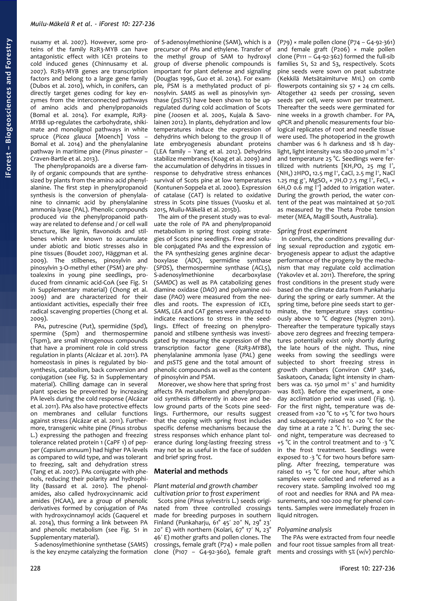nusamy et al. 2007). However, some proteins of the family R2R3-MYB can have antagonistic effect with ICE1 proteins to cold induced genes (Chinnusamy et al. 2007). R2R3-MYB genes are transcription factors and belong to a large gene family (Dubos et al. 2010), which, in conifers, can directly target genes coding for key enzymes from the interconnected pathways of amino acids and phenylpropanoids (Bomal et al. 2014). For example, *R2R3- MYB8* up-regulates the carbohydrate, shikimate and monolignol pathways in white spruce (*Picea glauca* [Moench] Voss – Bomal et al. 2014) and the phenylalanine pathway in maritime pine (*Pinus pinaster* – Craven-Bartle et al. 2013).

The phenylpropanoids are a diverse family of organic compounds that are synthesized by plants from the amino acid phenylalanine. The first step in phenylpropanoid synthesis is the conversion of phenylalanine to cinnamic acid by phenylalanine ammonia lyase (PAL). Phenolic compounds produced *via* the phenylpropanoid pathway are related to defense and / or cell wall structure, like lignin, flavonoids and stilbenes which are known to accumulate under abiotic and biotic stresses also in pine tissues (Boudet 2007, Häggman et al. 2009). The stilbenes, pinosylvin and pinosylvin 3-O-methyl ether (PSM) are phytoalexins in young pine seedlings, produced from cinnamic acid-CoA (see Fig. S1 in Supplementary material) (Chong et al. 2009) and are characterized for their antioxidant activities, especially their free radical scavenging properties (Chong et al. 2009).

PAs, putrescine (Put), spermidine (Spd), spermine (Spm) and thermospermine (Tspm), are small nitrogenous compounds that have a prominent role in cold stress regulation in plants (Alcázar et al. 2011). PA homeostasis in pines is regulated by biosynthesis, catabolism, back conversion and conjugation (see Fig. S2 in Supplementary material). Chilling damage can in several plant species be prevented by increasing PA levels during the cold response (Alcázar et al. 2011). PAs also have protective effects on membranes and cellular functions against stress (Alcázar et al. 2011). Furthermore, transgenic white pine (*Pinus strobus* L.) expressing the pathogen and freezing tolerance related protein 1 (CaPF 1) of pepper (*Capsium annuum*) had higher PA levels as compared to wild type, and was tolerant to freezing, salt and dehydration stress (Tang et al. 2007). PAs conjugate with phenols, reducing their polarity and hydrophility (Bassard et al. 2010). The phenolamides, also called hydroxycinnamic acid amides (HCAA), are a group of phenolic derivatives formed by conjugation of PAs with hydroxycinnamoyl acids (Gaquerel et al. 2014), thus forming a link between PA and phenolic metabolism (see Fig. S1 in Supplementary material).

S-adenosylmethionine synthetase (*SAMS*) is the key enzyme catalyzing the formation

of S-adenosylmethionine (SAM), which is a precursor of PAs and ethylene. Transfer of the methyl group of SAM to hydroxyl group of diverse phenolic compounds is important for plant defense and signaling (Douglas 1996, Guo et al. 2014). For example, PSM is a methylated product of pinosylvin. *SAMS* as well as pinosylvin synthase (*psSTS*) have been shown to be upregulated during cold acclimation of Scots pine (Joosen et al. 2005, Kujala & Savolainen 2012). In plants, dehydration and low temperatures induce the expression of dehydrins which belong to the group II of late embryogenesis abundant proteins (LEA family – Yang et al. 2012). Dehydrins stabilize membranes (Koag et al. 2009) and the accumulation of dehydrins in tissues in response to dehydrative stress enhances survival of Scots pine at low temperatures (Kontunen-Soppela et al. 2000). Expression of catalase (*CAT*) is related to oxidative stress in Scots pine tissues (Vuosku et al. 2015, Muilu-Mäkelä et al. 2015b).

The aim of the present study was to evaluate the role of PA and phenylpropanoid metabolism in spring frost coping strategies of Scots pine seedlings. Free and soluble conjugated PAs and the expression of the PA synthesizing genes arginine decarboxylase (*ADC)*, spermidine synthase (*SPDS*), thermospermine synthase (*ACL5*), S-adenosylmethionine decarboxylase (*SAMDC*) as well as PA catabolizing genes diamine oxidase (*DAO*) and polyamine oxidase (*PAO*) were measured from the needles and roots. The expression of *ICE1, SAMS, LEA* and *CAT* genes were analyzed to indicate reactions to stress in the seedlings. Effect of freezing on phenylpropanoid and stilbene synthesis was investigated by measuring the expression of the transcription factor gene (*R2R3-MYB8*), phenylalanine ammonia lyase (*PAL*) gene and *psSTS* gene and the total amount of phenolic compounds as well as the content of pinosylvin and PSM.

Moreover, we show here that spring frost affects PA metabolism and phenylpropanoid synthesis differently in above and below ground parts of the Scots pine seedlings. Furthermore, our results suggest that the coping with spring frost includes specific defense mechanisms because the stress responses which enhance plant tolerance during long-lasting freezing stress may not be as useful in the face of sudden and brief spring frost.

# **Material and methods**

## *Plant material and growth chamber cultivation prior to frost experiment*

Scots pine (*Pinus sylvestris* L.) seeds originated from three controlled crossings made for breeding purposes in southern Finland (Punkaharju,  $61^\circ$  45' 20" N, 29° 23' 20" E) with northern (Kolari,  $67^{\circ}$  17' N, 23° 46' E) mother grafts and pollen clones. The crossings, female graft (P74) × male pollen clone (P107 – G4-92-360), female graft (P79) × male pollen clone (P74 – G4-92-361) and female graft (P206) × male pollen clone (P111 –  $G$ 4-92-362) formed the full-sib families S1, S2 and S3, respectively. Scots pine seeds were sown on peat substrate (Kekkilä Metsätaimiturve M1L) on comb flowerpots containing six  $57 \times 24$  cm cells. Altogether 42 seeds per crossing, seven seeds per cell, were sown per treatment. Thereafter the seeds were germinated for nine weeks in a growth chamber. For PA, qPCR and phenolic measurements four biological replicates of root and needle tissue were used. The photoperiod in the growth chamber was 6 h darkness and 18 h daylight, light intensity was 180-200 µmol m<sup>2</sup> s<sup>-1</sup> and temperature 25 °C. Seedlings were fertilized with nutrients  $[KH_2PO_4 25 mg l',$  $(NH<sub>4</sub>)$  2HPO<sub>4</sub> 12.5 mg l<sup>-1</sup>, CaCl<sub>2</sub> 2.5 mg l<sup>-1</sup>, NaCl 1.25 mg g<sup>-1</sup>, MgSO<sub>4</sub> × 7H<sub>2</sub>O 7.5 mg l<sup>-1</sup>, FeCl<sub>3</sub> ×  $6H<sub>2</sub>O$  0.6 mg l<sup>-1</sup>] added to irrigation water. During the growth period, the water content of the peat was maintained at 50-70% as measured by the Theta Probe tension meter (MEA, Magill South, Australia).

## *Spring frost experiment*

In conifers, the conditions prevailing during sexual reproduction and zygotic embryogenesis appear to adjust the adaptive performance of the progeny by the mechanism that may regulate cold acclimation (Yakovlev et al. 2011). Therefore, the spring frost conditions in the present study were based on the climate data from Punkaharju during the spring or early summer. At the spring time, before pine seeds start to germinate, the temperature stays continuously above 10 °C degrees (Nygren 2011). Thereafter the temperature typically stays above zero degrees and freezing temperatures potentially exist only shortly during the late hours of the night. Thus, nine weeks from sowing the seedlings were subjected to short freezing stress in growth chambers (Conviron CMP 3246, Saskatoon, Canada; light intensity in chambers was ca. 150 µmol  $m<sup>2</sup> s<sup>-1</sup>$  and humidity was 80%). Before the experiment, a oneday acclimation period was used [\(Fig. 1\)](#page-2-0). For the first night, temperature was decreased from +20  $\degree$ C to +5  $\degree$ C for two hours and subsequently raised to +20 °C for the day time at a rate  $2^{\circ}C$  h<sup>1</sup>. During the second night, temperature was decreased to +5 °C in the control treatment and to -3 °C in the frost treatment. Seedlings were exposed to -3 °C for two hours before sampling. After freezing, temperature was raised to +5 °C for one hour, after which samples were collected and referred as a recovery state. Sampling involved 100 mg of root and needles for RNA and PA measurements, and 100-200 mg for phenol contents. Samples were immediately frozen in liquid nitrogen.

## *Polyamine analysis*

The PAs were extracted from four needle and four root tissue samples from all treatments and crossings with 5% (w/v) perchlo-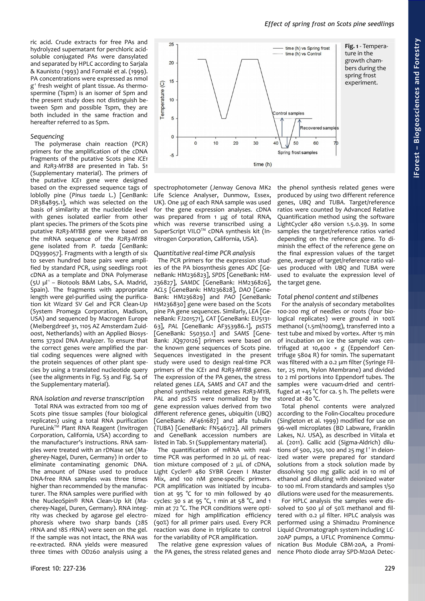ric acid. Crude extracts for free PAs and hydrolyzed supernatant for perchloric acidsoluble conjugated PAs were dansylated and separated by HPLC according to Sarjala & Kaunisto (1993) and Fornalé et al. (1999). PA concentrations were expressed as nmol g -1 fresh weight of plant tissue. As thermospermine (Tspm) is an isomer of Spm and the present study does not distinguish between Spm and possible Tspm, they are both included in the same fraction and hereafter referred to as Spm.

## *Sequencing*

The polymerase chain reaction (PCR) primers for the amplification of the cDNA fragments of the putative Scots pine *ICE1* and *R2R3-MYB8* are presented in Tab. S1 (Supplementary material). The primers of the putative *ICE1* gene were designed based on the expressed sequence tags of loblolly pine (*Pinus taeda* L.) [GenBank: DR384895.1], which was selected on the basis of similarity at the nucleotide level with genes isolated earlier from other plant species. The primers of the Scots pine putative *R2R3-MYB8* gene were based on the mRNA sequence of the *R2R3-MYB8* gene isolated from *P. taeda* [GenBank: DQ399057]. Fragments with a length of six to seven hundred base pairs were amplified by standard PCR, using seedlings root cDNA as a template and DNA Polymerase (5U µl<sup>-1</sup> - Biotools B&M Labs, S.A. Madrid, Spain). The fragments with appropriate length were gel-purified using the purification kit Wizard SV Gel and PCR Clean-Up (System Promega Corporation, Madison, USA) and sequenced by Macrogen Europe (Meibergdreef 31, 1105 AZ Amsterdam Zuidoost, Netherlands) with an Applied Biosystems 3730xl DNA Analyzer. To ensure that the correct genes were amplified the partial coding sequences were aligned with the protein sequences of other plant species by using a translated nucleotide query (see the alignments in Fig. S3 and Fig. S4 of the Supplementary material).

#### *RNA isolation and reverse transcription*

Total RNA was extracted from 100 mg of Scots pine tissue samples (four biological replicates) using a total RNA purification PureLink™ Plant RNA Reagent (Invitrogen Corporation, California, USA) according to the manufacturer's instructions. RNA samples were treated with an rDNase set (Magherey-Nagel, Duren, Germany) in order to eliminate contaminating genomic DNA. The amount of DNase used to produce DNA-free RNA samples was three times higher than recommended by the manufacturer. The RNA samples were purified with the NucleoSpin® RNA Clean-Up kit (Macherey-Nagel, Duren, Germany). RNA integrity was checked by agarose gel electrophoresis where two sharp bands (28S rRNA and 18S rRNA) were seen on the gel. If the sample was not intact, the RNA was re-extracted. RNA yields were measured three times with OD260 analysis using a



spectrophotometer (Jenway Genova MK2 Life Science Analyser, Dunmow, Essex, UK). One μg of each RNA sample was used for the gene expression analyses. cDNA was prepared from 1 μg of total RNA, which was reverse transcribed using a SuperScript VILOTM cDNA synthesis kit (Invitrogen Corporation, California, USA).

#### *Quantitative real-time PCR analysis*

The PCR primers for the expression studies of the PA biosynthesis genes *ADC* [GeneBank: HM236823], *SPDS* [GeneBank: HM-236827], *SAMDC* [GeneBank: HM236826], *ACL5* [GeneBank: HM236828], *DAO* [Gene-Bank: HM236829] and *PAO* [GeneBank: HM236830] gene were based on the Scots pine PA gene sequences. Similarly, *LEA* [GeneBank: FJ201571], *CAT* [GeneBank: EU5131- 63], *PAL* [GeneBank: AF353986.1], *psSTS* [GeneBank: S50350.1] and *SAMS* [Gene-Bank: JQ970126] primers were based on the known gene sequences of Scots pine. Sequences investigated in the present study were used to design real-time PCR primers of the *ICE1* and *R2R3-MYB8* genes. The expression of the PA genes, the stress related genes *LEA, SAMS* and *CAT* and the phenol synthesis related genes *R2R3-MYB, PAL* and *psSTS* were normalized by the gene expression values derived from two different reference genes, ubiquitin (*UBQ*) [GeneBank: AF461687] and alfa tubulin (*TUBA*) [GeneBank: FN546172]. All primers and GeneBank accession numbers are listed in Tab. S1 (Supplementary material).

The quantification of mRNA with realtime PCR was performed in 20 μL of reaction mixture composed of 2 μL of cDNA, Light Cycler® 480 SYBR Green I Master Mix, and 100 nM gene-specific primers. PCR amplification was initiated by incubation at 95 °C for 10 min followed by 40 cycles: 30 s at 95 °C, 1 min at 58 °C, and 1 min at 72 °C. The PCR conditions were optimized for high amplification efficiency (90%) for all primer pairs used. Every PCR reaction was done in triplicate to control for the variability of PCR amplification.

The relative gene expression values of the PA genes, the stress related genes and <span id="page-2-0"></span>the phenol synthesis related genes were produced by using two different reference genes, *UBQ* and *TUBA*. Target/reference ratios were counted by Advanced Relative Quantification method using the software LightCycler 480 version 1.5.0.39. In some samples the target/reference ratios varied depending on the reference gene. To diminish the effect of the reference gene on the final expression values of the target gene, average of target/reference ratio values produced with *UBQ* and *TUBA* were used to evaluate the expression level of the target gene.

#### *Total phenol content and stilbenes*

For the analysis of secondary metabolites 100-200 mg of needles or roots (four biological replicates) were ground in 100% methanol (1.5ml/100mg), transferred into a test tube and mixed by vortex. After 15 min of incubation on ice the sample was centrifuged at 10,400 × g (Eppendorf Centrifuge 5804 R) for 10min. The supernatant was filtered with a 0.2 um filter (Syringe Filter, 25 mm, Nylon Membrane) and divided to 2 ml portions into Eppendorf tubes. The samples were vacuum-dried and centrifuged at +45 °C for ca. 5 h. The pellets were stored at -80 °C.

Total phenol contents were analyzed according to the Folin-Ciocalteu procedure (Singleton et al. 1999) modified for use on 96-well microplates (BD Labware, Franklin Lakes, NJ. USA), as described in Viitala et al. (2011). Gallic acid (Sigma-Aldrich) dilutions of 500, 250, 100 and 25 mg  $I<sup>1</sup>$  in deionized water were prepared for standard solutions from a stock solution made by dissolving 500 mg gallic acid in 10 ml of ethanol and diluting with deionized water to 100 ml. From standards and samples 1/50 dilutions were used for the measurements.

For HPLC analysis the samples were dissolved to 500 µl of 50% methanol and filtered with 0.2 µl filter. HPLC analysis was performed using a Shimadzu Prominence Liquid Chromatograph system including LC-20AP pumps, a UFLC Prominence Communication Bus Module CBM-20A, a Prominence Photo diode array SPD-M20A Detec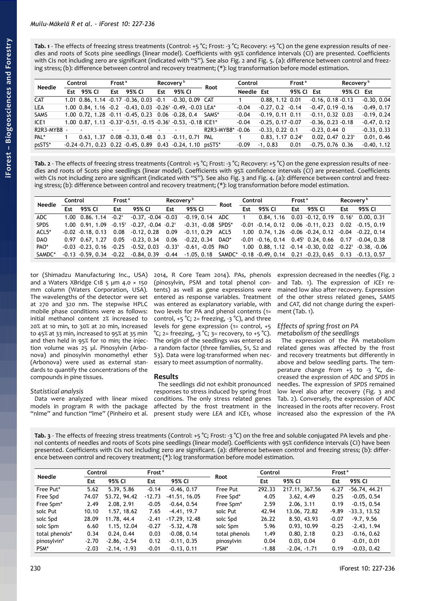<span id="page-3-1"></span>**Tab. 1** - The effects of freezing stress treatments (Control: +5 °C; Frost: -3 °C; Recovery: +5 °C) on the gene expression results of nee dles and roots of Scots pine seedlings (linear model). Coefficients with 95% confidence intervals (CI) are presented. Coefficients with CIs not including zero are significant (indicated with "S"). See also [Fig. 2](#page-4-0) and [Fig. 5.](#page-5-1) (a): difference between control and freezing stress; (b): difference between control and recovery treatment; (\*): log transformation before model estimation.

| <b>Needle</b>    | Control |            | Frost <sup>a</sup> |        | Recovery <sup>b</sup>                                         |  |     | Control         |  | Frost <sup>a</sup>                                                   |            | Recovery <sup>b</sup>           |            |                                 |        |               |
|------------------|---------|------------|--------------------|--------|---------------------------------------------------------------|--|-----|-----------------|--|----------------------------------------------------------------------|------------|---------------------------------|------------|---------------------------------|--------|---------------|
|                  |         | Est 95% CI |                    | Est    | 95% CI                                                        |  | Est | 95% CI          |  | Root                                                                 | Needle Est |                                 | 95% CI Est |                                 | 95% CI | Est           |
| <b>CAT</b>       |         |            |                    |        | 1.01 0.86, 1.14 -0.17 -0.36, 0.03 -0.1 -0.30, 0.09 CAT        |  |     |                 |  |                                                                      |            | 0.88, 1.12, 0.01                |            | $-0.16, 0.18 -0.13$             |        | $-0.30, 0.04$ |
| <b>LEA</b>       |         |            |                    |        | 1.00 0.84, 1.16 -0.2 -0.43, 0.03 -0.26° -0.49, -0.03 LEA*     |  |     |                 |  |                                                                      | $-0.04$    | $-0.27, 0.2 -0.14$              |            | $-0.47, 0.19 -0.16$             |        | $-0.49, 0.17$ |
| <b>SAMS</b>      |         |            |                    |        |                                                               |  |     |                 |  | 1.00 0.72, 1.28 -0.11 -0.45, 0.23 0.06 -0.28, 0.4 SAMS*              | $-0.04$    | $-0.19, 0.11, 0.11$             |            | $-0.11, 0.32, 0.03$             |        | $-0.19, 0.24$ |
| ICE <sub>1</sub> |         |            |                    |        | 1.00 0.87, 1.13 -0.33° -0.51, -0.15 -0.36° -0.53, -0.18 ICE1* |  |     |                 |  |                                                                      | $-0.04$    | $-0.25, 0.17 - 0.07$            |            | $-0.36, 0.23 -0.18$             |        | $-0.47, 0.12$ |
| R2R3-MYB8 -      |         |            |                    | $\sim$ |                                                               |  |     |                 |  | R2R3-MYB8* -0.06                                                     |            | $-0.33, 0.22, 0.1$              |            | $-0.23, 0.44$ 0                 |        | $-0.33, 0.33$ |
| PAL*             |         |            |                    |        | $0.63, 1.37$ $0.08$ $-0.33, 0.48$ 0.3                         |  |     | -0.11, 0.71 PAL |  |                                                                      |            | $0.83, 1.17, 0.24$ <sup>s</sup> |            | $0.02, 0.47, 0.23$ <sup>s</sup> |        | 0.01, 0.46    |
| psSTS*           |         |            |                    |        |                                                               |  |     |                 |  | $-0.24 - 0.71$ , 0.23 0.22 $-0.45$ , 0.89 0.43 $-0.24$ , 1.10 psSTS* | $-0.09$    | $-1.0.83$                       | 0.01       | $-0.75, 0.76, 0.36$             |        | $-0.40, 1.12$ |

<span id="page-3-0"></span>Tab. 2 - The effects of freezing stress treatments (Control: +5 °C; Frost: -3 °C; Recovery: +5 °C) on the gene expression results of nee dles and roots of Scots pine seedlings (linear model). Coefficients with 95% confidence intervals (CI) are presented. Coefficients with CIs not including zero are significant (indicated with "S"). See also [Fig. 3](#page-4-1) and [Fig. 4.](#page-5-0) (a): difference between control and freezing stress; (b): difference between control and recovery treatment; (\*): log transformation before model estimation.

| <b>Needle</b> | Control |                                                 | Frost <sup>a</sup> |                                                               | Recovery <b>b</b> |                                                                                                              | Root | Control   |        | Frost <sup>a</sup> |                                                                                        | Recovery <sup>b</sup> |        |
|---------------|---------|-------------------------------------------------|--------------------|---------------------------------------------------------------|-------------------|--------------------------------------------------------------------------------------------------------------|------|-----------|--------|--------------------|----------------------------------------------------------------------------------------|-----------------------|--------|
|               |         | Est 95% CI                                      | Est.               | 95% CI                                                        | Est.              | 95% CI                                                                                                       |      | Est       | 95% CI |                    | Est 95% CI                                                                             | Est                   | 95% CI |
| ADC.          |         | $1.00 \quad 0.86, 1.14 \quad -0.2$ <sup>s</sup> |                    | $-0.37, -0.04$ $-0.03$                                        |                   | $-0.19, 0.14$ ADC                                                                                            |      | $1 \quad$ |        |                    | $0.84, 1.16$ $0.03$ $-0.12, 0.19$ $0.16^{\circ}$ $0.00, 0.31$                          |                       |        |
| <b>SPDS</b>   |         |                                                 |                    | $1.00$ $0.91, 1.09$ $0.15^{\circ}$ $0.27, 0.04$ $0.2^{\circ}$ |                   | $-0.31, -0.08$ SPDS*                                                                                         |      |           |        |                    | $-0.01$ $-0.14$ , 0.12 $0.06$ $-0.11$ , 0.23 $0.02$ $-0.15$ , 0.19                     |                       |        |
| ACL5*         |         |                                                 |                    | $-0.02$ $-0.18$ , 0.13 $0.08$ $-0.12$ , 0.28 0.09             |                   | $-0.11, 0.29$ ACL5                                                                                           |      |           |        |                    | 1.00 0.74, 1.26 -0.06 -0.24, 0.12 -0.04 -0.22, 0.14                                    |                       |        |
| DAO           |         |                                                 |                    | $0.97$ $0.67$ , 1.27 $0.05$ $-0.23$ , 0.34 $0.06$             |                   | $-0.22, 0.34$ DAO*                                                                                           |      |           |        |                    | $-0.01$ $-0.16$ , 0.14 $0.45^{\circ}$ 0.24, 0.66 0.17 $-0.04$ , 0.38                   |                       |        |
| PAO*          |         | $-0.03 - 0.23, 0.16 - 0.25$                     |                    |                                                               |                   | $-0.52, 0.03 -0.33^{\circ} -0.61, -0.05$ PAO                                                                 |      |           |        |                    | $1.00$ $0.88$ , $1.12$ $-0.14$ $-0.30$ , $0.02$ $-0.22$ <sup>s</sup> $-0.38$ , $-0.06$ |                       |        |
| SAMDC*        |         | $-0.13$ $-0.59$ , $0.34$ $-0.22$                |                    |                                                               |                   | $-0.84, 0.39$ $-0.44$ $-1.05, 0.18$ SAMDC* $-0.18$ $-0.49, 0.14$ $-0.21$ $-0.23, 0.65$ $-0.13$ $-0.13, 0.57$ |      |           |        |                    |                                                                                        |                       |        |

tor (Shimadzu Manufacturing Inc., USA) and a Waters XBridge C18 5 µm 4.0 × 150 mm column (Waters Corporation, USA). The wavelengths of the detector were set at 270 and 320 nm. The stepwise HPLC mobile phase conditions were as follows: initial methanol content 2% increased to 20% at 10 min, to 30% at 20 min, increased to 45% at 33 min, increased to 95% at 35 min and then held in 95% for 10 min; the injection volume was 25 µl. Pinosylvin (Arbonova) and pinosylvin monomethyl ether (Arbonova) were used as external standards to quantify the concentrations of the compounds in pine tissues.

Data were analyzed with linear mixed models in program R with the package "nlme" and function "lme" (Pinheiro et al.

*Statistical analysis*

#### 2014, R Core Team 2014). PAs, phenols (pinosylvin, PSM and total phenol contents) as well as gene expressions were entered as response variables. Treatment was entered as explanatory variable, with two levels for PA and phenol contents (1= control,  $+5$  °C; 2= freezing, -3 °C), and three levels for gene expression (1= control, +5 °C; 2= freezing, -3 °C; 3= recovery, to +5 °C). The origin of the seedlings was entered as a random factor (three families, S1, S2 and S3). Data were log-transformed when necessary to meet assumption of normality.

# **Results**

The seedlings did not exhibit pronounced responses to stress induced by spring frost conditions. The only stress related genes affected by the frost treatment in the present study were *LEA* and *ICE1*, whose expression decreased in the needles [\(Fig. 2](#page-4-0) and [Tab. 1\)](#page-3-1). The expression of *ICE1* remained low also after recovery. Expression of the other stress related genes, *SAMS* and *CAT,* did not change during the experiment [\(Tab. 1\)](#page-3-1).

## *Effects of spring frost on PA metabolism of the seedlings*

The expression of the PA metabolism related genes was affected by the frost and recovery treatments but differently in above and below seedling parts. The temperature change from +5 to -3 °C, decreased the expression of *ADC* and *SPDS* in needles. The expression of *SPDS* remained low level also after recovery [\(Fig. 3](#page-4-1) and [Tab. 2\)](#page-3-0). Conversely, the expression of *ADC* increased in the roots after recovery. Frost increased also the expression of the PA

<span id="page-3-2"></span>Tab. 3 - The effects of freezing stress treatments (Control: +5 °C; Frost: -3 °C) on the free and soluble conjugated PA levels and phe nol contents of needles and roots of Scots pine seedlings (linear model). Coefficients with 95% confidence intervals (CI) have been presented. Coefficients with CIs not including zero are significant. (a): difference between control and freezing stress; (b): difference between control and recovery treatment; (\*): log transformation before model estimation.

|                | Control |                | Frost <sup>a</sup> |                 |               | Control |                | Frost <sup>a</sup> |                 |  |
|----------------|---------|----------------|--------------------|-----------------|---------------|---------|----------------|--------------------|-----------------|--|
| <b>Needle</b>  | Est     | 95% CI         | Est                | 95% CI          | Root          | Est     | 95% CI         | Est.               | 95% CI          |  |
| Free Put*      | 5.62    | 5.39, 5.86     | $-0.14$            | $-0.46, 0.17$   | Free Put      | 292.33  | 217.11, 367.56 | $-6.27$            | $-56.74, 44.21$ |  |
| Free Spd       | 74.07   | 53.72, 94.42   | $-12.73$           | $-41.51, 16.05$ | Free Spd*     | 4.05    | 3.62, 4.49     | 0.25               | $-0.05, 0.54$   |  |
| Free Spm*      | 2.49    | 2.08, 2.91     | $-0.05$            | $-0.64, 0.54$   | Free Spm*     | 2.59    | 2.06, 3.11     | 0.19               | $-0.15, 0.54$   |  |
| solc Put       | 10.10   | 1.57, 18.62    | 7.65               | $-4.41, 19.7$   | solc Put      | 42.94   | 13.06, 72.82   | $-9.89$            | $-33.3, 13.52$  |  |
| solc Spd       | 28.09   | 11.78, 44.4    | $-2.41$            | $-17.29.12.48$  | solc Spd      | 26.22   | 8.50, 43.93    | $-0.07$            | $-9.7, 9.56$    |  |
| solc Spm       | 6.60    | 1.15, 12.04    | $-0.27$            | $-5.32, 4.78$   | solc Spm      | 5.96    | 0.93, 10.99    | $-0.25$            | $-2.43, 1.94$   |  |
| total phenols* | 0.34    | 0.24, 0.44     | 0.03               | $-0.08, 0.14$   | total phenols | 1.49    | 0.80, 2.18     | 0.23               | $-0.16, 0.62$   |  |
| pinosylvin*    | $-2.70$ | $-2.86, -2.54$ | 0.12               | $-0.11, 0.35$   | pinosylvin    | 0.04    | 0.03, 0.04     | 0                  | $-0.01, 0.01$   |  |
| PSM*           | $-2.03$ | $-2.14, -1.93$ | $-0.01$            | $-0.13, 0.11$   | PSM*          | $-1.88$ | $-2.04 - 1.71$ | 0.19               | $-0.03, 0.42$   |  |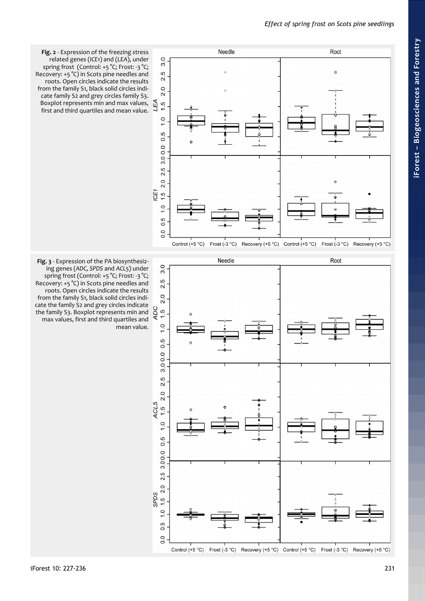<span id="page-4-0"></span>

<span id="page-4-1"></span>**Fig. 3** - Expression of the PA biosynthesizing genes (*ADC, SPDS* and *ACL5*) under spring frost (Control: +5 °C; Frost: -3 °C; Recovery: +5 °C) in Scots pine needles and roots. Open circles indicate the results from the family S1, black solid circles indicate the family S2 and grey circles indicate the family S3. Boxplot represents min and

**Fig. 2** - Expression of the freezing stress related genes (*ICE1*) and (*LEA*), under spring frost (Control: +5 °C; Frost: -3 °C; Recovery: +5 °C) in Scots pine needles and roots. Open circles indicate the results from the family S1, black solid circles indicate family S2 and grey circles family S3.

first and third quartiles and mean value.





Control (+5 °C) Frost (-3 °C) Recovery (+5 °C) Control (+5 °C) Frost (-3 °C) Recovery (+5 °C)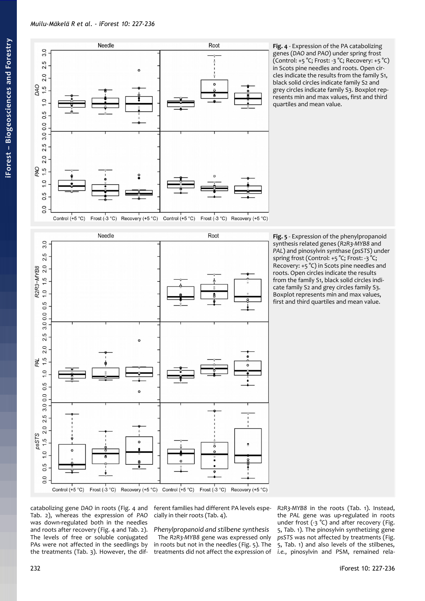

<span id="page-5-0"></span>**Fig. 4** - Expression of the PA catabolizing genes (*DAO* and *PAO*) under spring frost (Control: +5 °C; Frost: -3 °C; Recovery: +5 °C) in Scots pine needles and roots. Open circles indicate the results from the family S1, black solid circles indicate family S2 and grey circles indicate family S3. Boxplot represents min and max values, first and third quartiles and mean value.

Frost (-3 °C) Recovery (+5 °C) Control (+5 °C) Frost (-3 °C) Recovery (+5 °C) Control  $(+5 °C)$ 



<span id="page-5-1"></span>**Fig. 5** - Expression of the phenylpropanoid synthesis related genes (*R2R3-MYB8* and *PAL*) and pinosylvin synthase (*psSTS*) under spring frost (Control: +5 °C; Frost: -3 °C; Recovery: +5 °C) in Scots pine needles and roots. Open circles indicate the results from the family S1, black solid circles indicate family S2 and grey circles family S3. Boxplot represents min and max values, first and third quartiles and mean value.

catabolizing gene *DAO* in roots [\(Fig. 4](#page-5-0) and ferent families had different PA levels espe-[Tab. 2\)](#page-3-0), whereas the expression of *PAO* was down-regulated both in the needles and roots after recovery [\(Fig. 4](#page-5-0) and [Tab. 2\)](#page-3-0). The levels of free or soluble conjugated PAs were not affected in the seedlings by the treatments [\(Tab. 3\)](#page-3-2). However, the dif-

cially in their roots [\(Tab. 4\)](#page-6-0).

*Phenylpropanoid and stilbene synthesis* The *R2R3-MYB8* gene was expressed only in roots but not in the needles [\(Fig. 5\)](#page-5-1). The treatments did not affect the expression of

*R2R3-MYB8* in the roots [\(Tab. 1\)](#page-3-1). Instead, the *PAL* gene was up-regulated in roots under frost (-3 °C) and after recovery [\(Fig.](#page-5-1) [5,](#page-5-1) [Tab. 1\)](#page-3-1). The pinosylvin synthetizing gene *psSTS* was not affected by treatments [\(Fig.](#page-5-1) [5,](#page-5-1) [Tab. 1\)](#page-3-1) and also levels of the stilbenes, *i.e.*, pinosylvin and PSM, remained rela-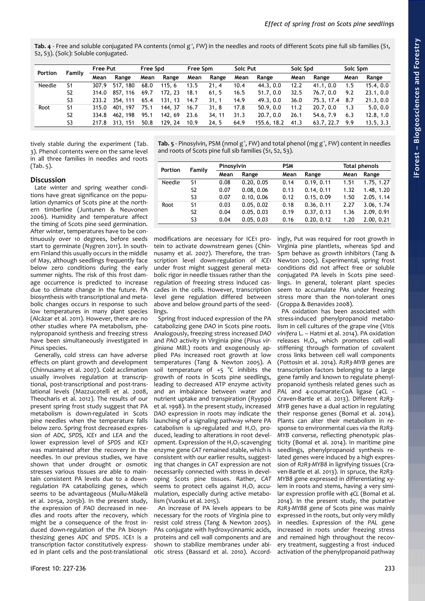<span id="page-6-0"></span>Tab. 4 - Free and soluble conjugated PA contents (nmol g<sup>-1</sup>, FW) in the needles and roots of different Scots pine full sib families (S1, S2, S3). (Solc): Soluble conjugated.

| <b>Portion</b> | Family         | <b>Free Put</b> |          | Free Spd |         | Free Spm |        | Solc Put |             | Solc Spd |                | Solc Spm |           |
|----------------|----------------|-----------------|----------|----------|---------|----------|--------|----------|-------------|----------|----------------|----------|-----------|
|                |                | Mean            | Range    | Mean     | Range   | Mean     | Range  | Mean     | Range       | Mean     | Range          | Mean     | Range     |
| Needle         | S1             | 307.9           | 517, 180 | 68.0     | 115.6   | 13.5     | 21.4   | 10.4     | 44.3, 0.0   | 12.2     | 41.1, 0.0      | 1.5      | 15.4.0.0  |
|                | S <sub>2</sub> | 314.0           | 857, 116 | 69.7     | 172, 23 | 18.1     | 61, 5  | 16.5     | 51.7, 0.0   | 32.5     | 76.7.0.0       | 9.2      | 23.1, 0.0 |
|                | S <sub>3</sub> | 233.2           | 354, 111 | 65.4     | 131, 13 | 14.7     | 31.1   | 14.9     | 49.3, 0.0   | 36.0     | 75.3, 17.4 8.7 |          | 21.3, 0.0 |
| Root           | S1             | 315.0           | 401, 197 | 75.1     | 144.37  | 16.7     | 31, 8  | 17.8     | 50.9, 0.0   | 11.2     | 20.7, 0.0      | 1.3      | 5.0, 0.0  |
|                | S <sub>2</sub> | 334.8           | 462, 198 | 95.1     | 142, 69 | 23.6     | 34, 11 | 31.3     | 20.7, 0.0   | 26.1     | 54.6, 7.9      | 6.3      | 12.8, 1.0 |
|                | S <sub>3</sub> | 217.8           | 313, 151 | 50.8     | 129, 24 | 10.9     | 24.5   | 64.9     | 155.6, 18.2 | 41.3     | 63.7, 22.7     | 9.9      | 13.5, 3.3 |

tively stable during the experiment [\(Tab.](#page-3-2) [3\)](#page-3-2). Phenol contents were on the same level in all three families in needles and roots [\(Tab. 5\)](#page-6-1).

# **Discussion**

Late winter and spring weather conditions have great significance on the population dynamics of Scots pine at the northern timberline (Juntunen & Neuvonen 2006). Humidity and temperature affect the timing of Scots pine seed germination. After winter, temperatures have to be continuously over 10 degrees, before seeds start to germinate (Nygren 2011). In southern Finland this usually occurs in the middle of May, although seedlings frequently face below zero conditions during the early summer nights. The risk of this frost damage occurrence is predicted to increase due to climate change in the future. PA biosynthesis with transcriptional and metabolic changes occurs in response to such low temperatures in many plant species (Alcázar et al. 2011). However, there are no other studies where PA metabolism, phenylpropanoid synthesis and freezing stress have been simultaneously investigated in *Pinus* species.

Generally, cold stress can have adverse effects on plant growth and development (Chinnusamy et al. 2007). Cold acclimation usually involves regulation at transcriptional, post-transcriptional and post-translational levels (Mazzucotelli et al. 2008, Theocharis et al. 2012). The results of our present spring frost study suggest that PA metabolism is down-regulated in Scots pine needles when the temperature falls below zero. Spring frost decreased expression of *ADC, SPDS, ICE1* and *LEA* and the lower expression level of *SPDS* and *ICE1* was maintained after the recovery in the needles. In our previous studies, we have shown that under drought or osmotic stresses various tissues are able to maintain consistent PA levels due to a downregulation PA catabolizing genes, which seems to be advantageous (Muilu-Mäkelä et al. 2015a, 2015b). In the present study, the expression of *PAO* decreased in needles and roots after the recovery, which might be a consequence of the frost induced down-regulation of the PA biosynthesizing genes *ADC* and *SPDS*. ICE1 is a transcription factor constitutively expressed in plant cells and the post-translational <span id="page-6-1"></span>Tab. 5 - Pinosylvin, PSM (nmol g<sup>-1</sup>, FW) and total phenol (mg g<sup>-1</sup>, FW) content in needles and roots of Scots pine full sib families (S1, S2, S3).

| Portion | Family | Pinosylvin |            | <b>PSM</b> |            | Total phenols |            |  |
|---------|--------|------------|------------|------------|------------|---------------|------------|--|
|         |        | Mean       | Range      | Mean       | Range      | Mean          | Range      |  |
| Needle  | S1     | 0.08       | 0.20, 0.05 | 0.14       | 0.19.0.11  | 1.51          | 1.75, 1.27 |  |
|         | S2     | 0.07       | 0.08, 0.06 | 0.13       | 0.14, 0.11 | 1.32          | 1.48, 1.20 |  |
|         | S3     | 0.07       | 0.10, 0.06 | 0.12       | 0.15, 0.09 | 1.50          | 2.05, 1.14 |  |
| Root    | S1     | 0.03       | 0.05, 0.02 | 0.18       | 0.36, 0.11 | 2.27          | 3.06, 1.74 |  |
|         | S2     | 0.04       | 0.05, 0.03 | 0.19       | 0.37, 0.13 | 1.36          | 2.09, 0.91 |  |
|         | S3     | 0.04       | 0.05, 0.03 | 0.16       | 0.20, 0.12 | 1.20          | 2.00, 0.21 |  |

modifications are necessary for ICE1 protein to activate downstream genes (Chinnusamy et al. 2007). Therefore, the transcription level down-regulation of *ICE1* under frost might suggest general metabolic rigor in needle tissues rather than the regulation of freezing stress induced cascades in the cells. However, transcription level gene regulation differed between above and below ground parts of the seedlings.

Spring frost induced expression of the PA catabolizing gene *DAO* in Scots pine roots. Analogously, freezing stress increased *DAO* and *PAO* activity in Virginia pine (*Pinus virginiana* Mill.) roots and exogenously applied PAs increased root growth at low temperatures (Tang & Newton 2005). A soil temperature of  $+5$  °C inhibits the growth of roots in Scots pine seedlings, leading to decreased ATP enzyme activity and an imbalance between water and nutrient uptake and transpiration (Ryyppö et al. 1998). In the present study, increased *DAO* expression in roots may indicate the launching of a signaling pathway where PA catabolism is up-regulated and  $H_2O_2$  produced, leading to alterations in root development. Expression of the  $H_2O_2$ -scavenging enzyme gene *CAT* remained stable, which is consistent with our earlier results, suggesting that changes in *CAT* expression are not necessarily connected with stress in developing Scots pine tissues. Rather, *CAT* seems to protect cells against  $H_2O_2$  accumulation, especially during active metabolism (Vuosku et al. 2015).

An increase of PA levels appears to be necessary for the roots of Virginia pine to resist cold stress (Tang & Newton 2005). PAs conjugate with hydroxycinnamic acids, proteins and cell wall components and are shown to stabilize membranes under abiotic stress (Bassard et al. 2010). Accordingly, Put was required for root growth in Virginia pine plantlets, whereas Spd and Spm behave as growth inhibitors (Tang & Newton 2005). Experimental, spring frost conditions did not affect free or soluble conjugated PA levels in Scots pine seedlings. In general, tolerant plant species seem to accumulate PAs under freezing stress more than the non-tolerant ones (Groppa & Benavides 2008).

PA oxidation has been associated with stress-induced phenylpropanoid metabolism in cell cultures of the grape vine (*Vitis vinifera* L. – Hatmi et al. 2014). PA oxidation releases H<sub>2</sub>O<sub>2</sub>, which promotes cell-wall stiffening through formation of covalent cross links between cell wall components (Pottosin et al. 2014). *R2R3-MYB* genes are transcription factors belonging to a large gene family and known to regulate phenylpropanoid synthesis related genes such as *PAL* and 4-coumarate:CoA ligase (*4CL –* Craven-Bartle et al. 2013). Different *R2R3- MYB* genes have a dual action in regulating their response genes (Bomal et al. 2014). Plants can alter their metabolism in response to environmental cues via the *R2R3- MYB* converse, reflecting phenotypic plasticity (Bomal et al. 2014). In maritime pine seedlings, phenylpropanoid synthesis related genes were induced by a high expression of *R2R3-MYB8* in lignifying tissues (Craven-Bartle et al. 2013). In spruce, the *R2R3- MYB8* gene expressed in differentiating xylem in roots and stems, having a very similar expression profile with *4CL* (Bomal et al. 2014). In the present study, the putative *R2R3-MYB8* gene of Scots pine was mainly expressed in the roots, but only very mildly in needles. Expression of the *PAL* gene increased in roots under freezing stress and remained high throughout the recovery treatment, suggesting a frost -induced activation of the phenylpropanoid pathway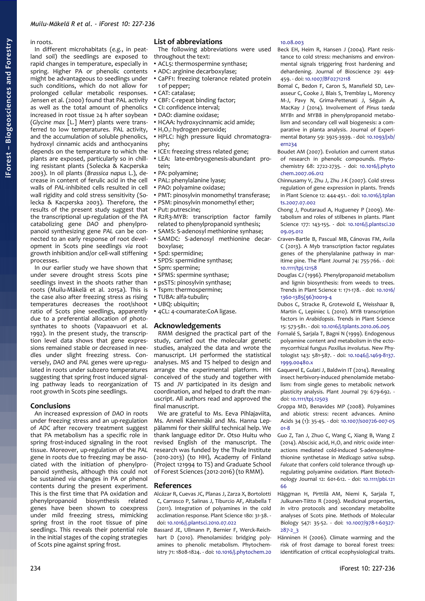## in roots.

In different microhabitats (*e.g.*, in peatland soil) the seedlings are exposed to rapid changes in temperature, especially in spring. Higher PA or phenolic contents might be advantageous to seedlings under such conditions, which do not allow for prolonged cellular metabolic responses. Jensen et al. (2000) found that PAL activity as well as the total amount of phenolics increased in root tissue 24 h after soybean (*Glycine max* [L.] Merr) plants were transferred to low temperatures. PAL activity, and the accumulation of soluble phenolics, hydroxyl cinnamic acids and anthocyanins depends on the temperature to which the plants are exposed, particularly so in chilling resistant plants (Solecka & Kacperska 2003). In oil plants (*Brassica napus* L.), decrease in content of ferulic acid in the cell walls of *PAL*-inhibited cells resulted in cell wall rigidity and cold stress sensitivity (Solecka & Kacperska 2003). Therefore, the results of the present study suggest that the transcriptional up-regulation of the PA catabolizing gene *DAO* and phenylpropanoid synthesizing gene *PAL* can be connected to an early response of root development in Scots pine seedlings *via* root growth inhibition and/or cell-wall stiffening processes.

In our earlier study we have shown that under severe drought stress Scots pine seedlings invest in the shoots rather than roots (Muilu-Mäkelä et al. 2015a). This is the case also after freezing stress as rising temperatures decreases the root/shoot ratio of Scots pine seedlings, apparently due to a preferential allocation of photosynthates to shoots (Vapaavuori et al. 1992). In the present study, the transcription level data shows that gene expressions remained stable or decreased in needles under slight freezing stress. Conversely, *DAO* and *PAL* genes were up-regulated in roots under subzero temperatures suggesting that spring frost induced signaling pathway leads to reorganization of root growth in Scots pine seedlings.

## **Conclusions**

An increased expression of *DAO* in roots under freezing stress and an up-regulation of *ADC* after recovery treatment suggest that PA metabolism has a specific role in spring frost-induced signaling in the root tissue. Moreover, up-regulation of the *PAL* gene in roots due to freezing may be associated with the initiation of phenylpropanoid synthesis, although this could not be sustained *via* changes in PA or phenol contents during the present experiment. This is the first time that PA oxidation and phenylpropanoid biosynthesis related genes have been shown to coexpress under mild freezing stress, mimicking spring frost in the root tissue of pine seedlings. This reveals their potential role in the initial stages of the coping strategies of Scots pine against spring frost.

# **List of abbreviations**

The following abbreviations were used throughout the text:

- ACL5: thermospermine synthase;
- ADC: arginine decarboxylase;
- CaPF1: freezing tolerance related protein 1 of pepper;
- CAT: catalase;
- CBF: C-repeat binding factor;
- CI: confidence interval;
- DAO: diamine oxidase;
- HCAA: hydroxycinnamic acid amide;
- H<sub>2</sub>O<sub>2</sub>: hydrogen peroxide;
- HPLC: high pressure liquid chromatography;
- ICE1: freezing stress related gene;
- LEA: late-embryogenesis-abundant protein;
- PA: polyamine;
- PAL: phenylalanine lyase;
- PAO: polyamine oxidase;
- PMT: pinosylvin monomethyl transferase;
- PSM: pinosylvin monomethyl ether;
- Put: putrescine;
- R2R3-MYB: transcription factor family related to phenylpropanoid synthesis;
- SAMS: S-adenosyl methionine synhase;
- SAMDC: S-adenosyl methionine decarboxylase;
- Spd: spermidine;
- SPDS: spermidine synthase;
- Spm: spermine;
- SPMS: spermine synthase;
- psSTS: pinosylvin synthase;
- Tspm: thermospermine;
- TUBA: alfa-tubulin;
- UBO: ubiquitin:
- 4CL: 4-coumarate:CoA ligase.

## **Acknowledgements**

RMM designed the practical part of the study, carried out the molecular genetic studies, analyzed the data and wrote the manuscript. LH performed the statistical analyses. MS and TS helped to design and arrange the experimental platform. HH conceived of the study and together with TS and JV participated in its design and coordination, and helped to draft the manuscript. All authors read and approved the final manuscript.

We are grateful to Ms. Eeva Pihlajaviita, Ms. Anneli Käenmäki and Ms. Hanna Leppälammi for their skillful technical help. We thank language editor Dr. Otso Huitu who revised English of the manuscript. The research was funded by the Thule Institute (2010-2013) (to HH), Academy of Finland (Project 121994 to TS) and Graduate School of Forest Sciences (2012-2016) (to RMM).

## **References**

- Alcázar R, Cuevas JC, Planas J, Zarza X, Bortolotti C, Carrasco P, Salinas J, Tiburcio AF, Altabella T (2011). Integration of polyamines in the cold acclimation response. Plant Science 180: 31-38. doi: [10.1016/j.plantsci.2010.07.022](http://dx.doi.org/10.1016/j.plantsci.2010.07.022)
- Bassard JE, Ullmann P, Bernier F, Werck-Reichhart D (2010). Phenolamides: bridging polyamines to phenolic metabolism. Phytochemistry 71: 1808-1824. - doi: [10.1016/j.phytochem.20](http://dx.doi.org/10.1016/j.phytochem.2010.08.003)

#### [10.08.003](http://dx.doi.org/10.1016/j.phytochem.2010.08.003)

- Beck EH, Heim R, Hansen J (2004). Plant resistance to cold stress: mechanisms and environmental signals triggering frost hardening and dehardening. Journal of Bioscience 29: 449- 459. - doi: [10.1007/BF02712118](http://dx.doi.org/10.1007/BF02712118)
- Bomal C, Bedon F, Caron S, Mansfield SD, Levasseur C, Cooke J, Blais S, Tremblay L, Morency M-J, Pavy N, Grima-Pettenati J, Séguin A, MacKay J (2014). Involvement of *Pinus taeda* MYB1 and MYB8 in phenylpropanoid metabolism and secondary cell wall biogenesis: a comparative in planta analysis. Journal of Experimental Botany 59: 3925-3939. - doi: [10.1093/jxb/](http://dx.doi.org/10.1093/jxb/ern234) [ern234](http://dx.doi.org/10.1093/jxb/ern234)
- Boudet AM (2007). Evolution and current status of research in phenolic compounds. Phytochemistry 68: 2722-2735. - doi: [10.1016/j.phyto](http://dx.doi.org/10.1016/j.phytochem.2007.06.012) [chem.2007.06.012](http://dx.doi.org/10.1016/j.phytochem.2007.06.012)
- Chinnusamy V, Zhu J, Zhu J-K (2007). Cold stress regulation of gene expression in plants. Trends in Plant Science 12: 444-451. - doi: [10.1016/j.tplan](http://dx.doi.org/10.1016/j.tplants.2007.07.002) [ts.2007.07.002](http://dx.doi.org/10.1016/j.tplants.2007.07.002)
- Chong J, Poutaraud A, Hugueney P (2009). Metabolism and roles of stilbenes in plants. Plant Science 177: 143-155. - doi: [10.1016/j.plantsci.20](http://dx.doi.org/10.1016/j.plantsci.2009.05.012) [09.05.012](http://dx.doi.org/10.1016/j.plantsci.2009.05.012)
- Craven-Bartle B, Pascual MB, Cánovas FM, Avila C (2013). A Myb transcription factor regulates genes of the phenylalanine pathway in maritime pine. The Plant Journal 74: 755-766. - doi: [10.1111/tpj.12158](http://dx.doi.org/10.1111/tpj.12158)
- Douglas CJ (1996). Phenylpropanoid metabolism and lignin biosynthesis: from weeds to trees. Trends in Plant Science 1: 171-178. - doi: [10.1016/](http://dx.doi.org/10.1016/1360-1385(96)10019-4) [1360-1385\(96\)10019-4](http://dx.doi.org/10.1016/1360-1385(96)10019-4)
- Dubos C, Stracke R, Grotewold E, Weisshaar B, Martin C, Lepiniec L (2010). MYB transcription factors in *Arabidopsis*. Trends in Plant Science 15: 573-581. - doi: [10.1016/j.tplants.2010.06.005](http://dx.doi.org/10.1016/j.tplants.2010.06.005)
- Fornalé S, Sarjala T, Bagni N (1999). Endogenous polyamine content and metabolism in the ectomycorrhizal fungus *Paxillus involutus*. New Phytologist 143: 581-587. - doi: [10.1046/j.1469-8137.](http://dx.doi.org/10.1046/j.1469-8137.1999.00480.x) [1999.00480.x](http://dx.doi.org/10.1046/j.1469-8137.1999.00480.x)
- Gaquerel E, Gulati J, Baldwin IT (2014). Revealing insect herbivory-induced phenolamide metabolism: from single genes to metabolic network plasticity analysis. Plant Journal 79: 679-692. doi: [10.1111/tpj.12503](http://dx.doi.org/10.1111/tpj.12503)
- Groppa MD, Benavides MP (2008). Polyamines and abiotic stress: recent advances. Amino Acids 34 (1): 35-45. - doi: [10.1007/s00726-007-05](http://dx.doi.org/10.1007/s00726-007-0501-8) [01-8](http://dx.doi.org/10.1007/s00726-007-0501-8)
- Guo Z, Tan J, Zhuo C, Wang C, Xiang B, Wang Z (2014). Abscisic acid,  $H_2O_2$  and nitric oxide interactions mediated cold-induced S-adenosylmethionine synthetase in *Medicago sativa* subsp. *Falcate* that confers cold tolerance through upregulating polyamine oxidation. Plant Biotechnology Journal 12: 601-612. - doi: [10.1111/pbi.121](http://dx.doi.org/10.1111/pbi.12166) [66](http://dx.doi.org/10.1111/pbi.12166)
- Häggman H, Pirttilä AM, Niemi K, Sarjala T, Julkunen-Tiitto R (2009). Medicinal properties, *In vitro* protocols and secondary metabolite analyses of Scots pine. Methods of Molecular Biology 547: 35-52. - doi: [10.1007/978-1-60327-](http://dx.doi.org/10.1007/978-1-60327-287-2_3) [287-2\\_3](http://dx.doi.org/10.1007/978-1-60327-287-2_3)
- Hänninen H (2006). Climate warming and the risk of frost damage to boreal forest trees: identification of critical ecophysiological traits.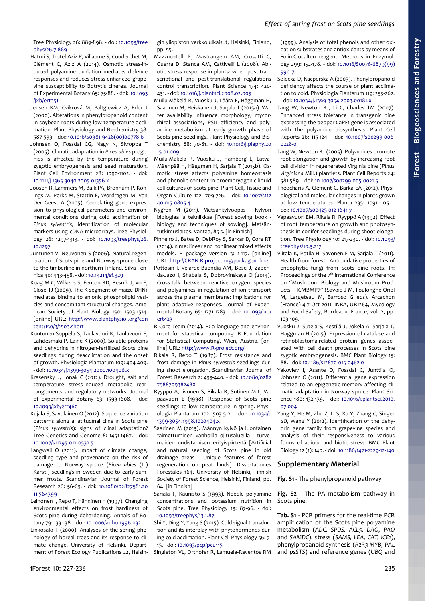Tree Physiology 26: 889-898. - doi: [10.1093/tree](http://dx.doi.org/10.1093/treephys/26.7.889) [phys/26.7.889](http://dx.doi.org/10.1093/treephys/26.7.889)

- Hatmi S, Trotel-Aziz P, Villaume S, Couderchet M, Clément C, Aziz A (2014). Osmotic stress-induced polyamine oxidation mediates defence responses and reduces stress-enhanced grapevine susceptibility to Botrytis cinerea. Journal of Experimental Botany 65: 75-88. - doi: [10.1093](http://dx.doi.org/10.1093/jxb/ert351) [/jxb/ert351](http://dx.doi.org/10.1093/jxb/ert351)
- Jensen KM, Cvikrová M, Paltgiewicz A, Eder J (2000). Alterations in phenylpropanoid content in soybean roots during low temperature acclimation. Plant Physiology and Biochemistry 38: 587-593. - doi: [10.1016/S0981-9428\(00\)00778-6](http://dx.doi.org/10.1016/S0981-9428(00)00778-6)
- Johnsen O, Fossdal CG, Nagy N, Skroppa T (2005). Climatic adaptation in *Picea abies* progenies is affected by the temperature during zygotic embryogenesis and seed maturation. Plant Cell Environment 28: 1090-1102. - doi: [10.1111/j.1365-3040.2005.01356.x](http://dx.doi.org/10.1111/j.1365-3040.2005.01356.x)
- Joosen R, Lammers M, Balk PA, Bronnum P, Konings M, Perks M, Stattin E, Wordragen M, Van Der Geest A (2005). Correlating gene expression to physiological parameters and environmental conditions during cold acclimation of *Pinus sylvestris*, identification of molecular markers using cDNA microarrays. Tree Physiology 26: 1297-1313. - doi: [10.1093/treephys/26.](http://dx.doi.org/10.1093/treephys/26.10.1297) [10.1297](http://dx.doi.org/10.1093/treephys/26.10.1297)
- Juntunen V, Neuvonen S (2006). Natural regeneration of Scots pine and Norway spruce close to the timberline in northern Finland. Silva Fennica 40: 443-458. - doi: [10.14214/sf.329](http://dx.doi.org/10.14214/sf.329)
- Koag M-C, Wilkens S, Fenton RD, Resnik J, Vo E, Close TJ (2009). The K-segment of maize DHN1 mediates binding to anionic phospholipid vesicles and concomitant structural changes. American Society of Plant Biology 150: 1503-1514. [online] URL: [http://www.plantphysiol.org/con](http://www.plantphysiol.org/content/150/3/1503.short) [tent/150/3/1503.short](http://www.plantphysiol.org/content/150/3/1503.short)
- Kontunen-Soppela S, Taulavuori K, Taulavuori E, Lähdesmäki P, Laine K (2000). Soluble proteins and dehydrins in nitrogen-fertilized Scots pine seedlings during deacclimation and the onset of growth. Physiologia Plantarum 109: 404-409. - doi: [10.1034/j.1399-3054.2000.100406.x](http://dx.doi.org/10.1034/j.1399-3054.2000.100406.x)
- Krasensky J, Jonak C (2012). Drought, salt and temperature stress-induced metabolic rearrangements and regulatory networks. Journal of Experimental Botany 63: 1593-1608. - doi: [10.1093/jxb/err460](http://dx.doi.org/10.1093/jxb/err460)
- Kujala S, Savolainen O (2012). Sequence variation patterns along a latitudinal cline in Scots pine (*Pinus sylvestris*): signs of clinal adaptation? Tree Genetics and Genome 8: 1451-1467. - doi: [10.1007/s11295-012-0532-5](http://dx.doi.org/10.1007/s11295-012-0532-5)
- Langwall O (2011). Impact of climate change, seedling type and provenance on the risk of damage to Norway spruce (*Picea abies* (L.) Karst.) seedlings in Sweden due to early summer frosts. Scandinavian Journal of Forest Research 26: 56-63. - doi: [10.1080/02827581.20](http://dx.doi.org/10.1080/02827581.2011.564399) [11.564399](http://dx.doi.org/10.1080/02827581.2011.564399)
- Leinonen I, Repo T, Hänninen H (1997). Changing environmental effects on frost hardiness of Scots pine during dehardening. Annals of Botany 79: 133-138. - doi: [10.1006/anbo.1996.0321](http://dx.doi.org/10.1006/anbo.1996.0321)
- Linkosalo T (2000). Analyses of the spring phenology of boreal trees and its response to climate change. University of Helsinki, Department of Forest Ecology Publications 22, Helsin-

gin yliopiston verkkojulkaisut, Helsinki, Finland, pp. 55.

- Mazzucotelli E, Mastrangelo AM, Crosatti C, Guerra D, Stanca AM, Cattivelli L (2008). Abiotic stress response in plants: when post-transcriptional and post-translational regulations control transcription. Plant Science 174: 420- 431. - doi: [10.1016/j.plantsci.2008.02.005](http://dx.doi.org/10.1016/j.plantsci.2008.02.005)
- Muilu-Mäkelä R, Vuosku J, Läärä E, Häggman H, Saarinen M, Heiskanen J, Sarjala T (2015a). Water availability influence morphology, mycorrhizal associations, PSII efficiency and polyamine metabolism at early growth phase of Scots pine seedlings. Plant Physiology and Biochemistry 88: 70-81. - doi: [10.1016/j.plaphy.20](http://dx.doi.org/10.1016/j.plaphy.2015.01.009) [15.01.009](http://dx.doi.org/10.1016/j.plaphy.2015.01.009)
- Muilu-Mäkelä R, Vuosku J, Hamberg L, Latva-Mäenpää H, Häggman H, Sarjala T (2015b). Osmotic stress affects polyamine homeostasis and phenolic content in proembryogenic liquid cell cultures of Scots pine. Plant Cell, Tissue and Organ Culture 122: 709-726. - doi: [10.1007/s112](http://dx.doi.org/10.1007/s11240-015-0805-4) [40-015-0805-4](http://dx.doi.org/10.1007/s11240-015-0805-4)
- Nygren M (2011). Metsänkylvöopas Kylvön biologiaa ja tekniikkaa [Forest sowing book biology and techniques of sowing]. Metsäntutkimuslaitos, Vantaa, 85 s. [in Finnish]
- Pinheiro J, Bates D, DebRoy S, Sarkar D, Core RT (2014). nlme: linear and nonlinear mixed effects models. R package version 3: 1-117. [online] URL:<http://CRAN.R-project.org/package=nlme>
- Pottosin I, Velarde-Buendía AM, Bose J, Zapenda-Jazo I, Shabala S, Dobrovinskaya O (2014). Cross-talk between reactive oxygen species and polyamines in regulation of ion transport across the plasma membrane: implications for plant adaptive responses. Journal of Experimental Botany 65: 1271-1283. - doi: [10.1093/jxb/](http://dx.doi.org/10.1093/jxb/ert423) [ert423](http://dx.doi.org/10.1093/jxb/ert423)
- R Core Team (2014). R: a language and environment for statistical computing. R Foundation for Statistical Computing, Wien, Austria. [online] URL:<http://www.R-project.org/>
- Rikala R, Repo T (1987). Frost resistance and frost damage in *Pinus sylvestris* seedlings during shoot elongation. Scandinavian Journal of Forest Research 2: 433-440. - doi: [10.1080/0282](http://dx.doi.org/10.1080/02827588709382480) [7588709382480](http://dx.doi.org/10.1080/02827588709382480)
- Ryyppö A, Iivonen S, Rikala R, Sutinen M-L, Vapaavuori E (1998). Response of Scots pine seedlings to low temperature in spring. Physiologia Plantarum 102: 503-512. - doi: [10.1034/j.](http://dx.doi.org/10.1034/j.1399-3054.1998.1020404.x) [1399-3054.1998.1020404.x](http://dx.doi.org/10.1034/j.1399-3054.1998.1020404.x)
- Saarinen M (2013). Männyn kylvö ja luontainen taimettuminen vanhoilla ojitusalueilla - turvemaiden uudistamisen erityispiirteitä [Artificial and natural seeding of Scots pine in old drainage areas - Unique features of forest regeneration on peat lands]. Dissertationes Forestales 164, University of Helsinki, Finnish Society of Forest Science, Helsinki, Finland, pp. 64. [in Finnish]
- Sarjala T, Kaunisto S (1993). Needle polyamine concentrations and potassium nutrition in Scots pine. Tree Physiology 13: 87-96. - doi: [10.1093/treephys/13.1.87](http://dx.doi.org/10.1093/treephys/13.1.87)
- Shi Y, Ding Y, Yang S (2015). Cold signal transduction and its interplay with phytohormones during cold acclimation. Plant Cell Physiology 56: 7- 15. - doi: [10.1093/pcp/pcu115](http://dx.doi.org/10.1093/pcp/pcu115)

Singleton VL, Orthofer R, Lamuela-Raventos RM

(1999). Analysis of total phenols and other oxidation substrates and antioxidants by means of Folin-Ciocalteu reagent. Methods in Enzymology 299: 152-178. - doi: [10.1016/S0076-6879\(99\)](http://dx.doi.org/10.1016/S0076-6879(99)99017-1) [99017-1](http://dx.doi.org/10.1016/S0076-6879(99)99017-1)

- Solecka D, Kacperska A (2003). Phenylpropanoid deficiency affects the course of plant acclimation to cold. Physiologia Plantarum 119: 253-262. - doi: [10.1034/j.1399-3054.2003.00181.x](http://dx.doi.org/10.1034/j.1399-3054.2003.00181.x)
- Tang W, Newton RJ, Li C, Charles TM (2007). Enhanced stress tolerance in transgenic pine expressing the pepper CaPF1 gene is associated with the polyamine biosynthesis. Plant Cell Reports 26: 115-124. - doi: [10.1007/s00299-006-](http://dx.doi.org/10.1007/s00299-006-0228-0) [0228-0](http://dx.doi.org/10.1007/s00299-006-0228-0)
- Tang W, Newton RJ (2005). Polyamines promote root elongation and growth by increasing root cell division in regenerated Virginia pine (*Pinus virginiana* Mill.) plantlets. Plant Cell Reports 24: 581-589. - doi: [10.1007/s00299-005-0021-5](http://dx.doi.org/10.1007/s00299-005-0021-5)
- Theocharis A, Clément C, Barka EA (2012). Physiological and molecular changes in plants grown at low temperatures. Planta 235: 1091-1105. doi: [10.1007/s00425-012-1641-y](http://dx.doi.org/10.1007/s00425-012-1641-y)
- Vapaavuori EM, Rikala R, Ryyppö A (1992). Effect of root temperature on growth and photosynthesis in conifer seedlings during shoot elongation. Tree Physiology 10: 217-230. - doi: [10.1093/](http://dx.doi.org/10.1093/treephys/10.3.217) [treephys/10.3.217](http://dx.doi.org/10.1093/treephys/10.3.217)
- Viitala K, Potila H, Savonen E-M, Sarjala T (2011). Health from forest - Antioxidative properties of endophytic fungi from Scots pine roots. In: Proceedings of the  $7<sup>th</sup>$  International Conference on "Mushroom Biology and Mushroom Products – ICMBMP7" (Savoie J-M, Foulongne-Oriol M, Largeteau M, Barroso G eds). Arcachon (France) 4-7 Oct 2011. INRA, UR1264, Mycology and Food Safety, Bordeaux, France, vol. 2, pp. 103-109.
- Vuosku J, Sutela S, Kestilä J, Jokela A, Sarjala T, Häggman H (2015). Expression of catalase and retinoblastoma-related protein genes associated with cell death processes in Scots pine zygotic embryogenesis. BMC Plant Biology 15: 88. - doi: [10.1186/s12870-015-0462-0](http://dx.doi.org/10.1186/s12870-015-0462-0)
- Yakovlev I, Asante D, Fossdal C, Junttila O, Johnsen O (2011). Differential gene expression related to an epigenetic memory affecting climatic adaptation in Norway spruce. Plant Science 180: 132-139. - doi: [10.1016/j.plantsci.2010.](http://dx.doi.org/10.1016/j.plantsci.2010.07.004) [07.004](http://dx.doi.org/10.1016/j.plantsci.2010.07.004)
- Yang Y, He M, Zhu Z, Li S, Xu Y, Zhang C, Singer SD, Wang Y (2012). Identification of the dehydrin gene family from grapevine species and analysis of their responsiveness to various forms of abiotic and biotic stress. BMC Plant Biology 12 (1): 140. - doi: [10.1186/1471-2229-12-140](http://dx.doi.org/10.1186/1471-2229-12-140)

#### **Supplementary Material**

**Fig. S1 -** The phenylpropanoid pathway.

**Fig. S2** - The PA metabolism pathway in Scots pine.

**Tab. S1** - PCR primers for the real-time PCR amplification of the Scots pine polyamine metabolism (*ADC, SPDS, ACL5, DAO, PAO* and *SAMDC*), stress (*SAMS, LEA, CAT, ICE1*), phenylpropanoid synthesis (*R2R3-MYB, PAL* and *psSTS*) and reference genes (*UBQ* and